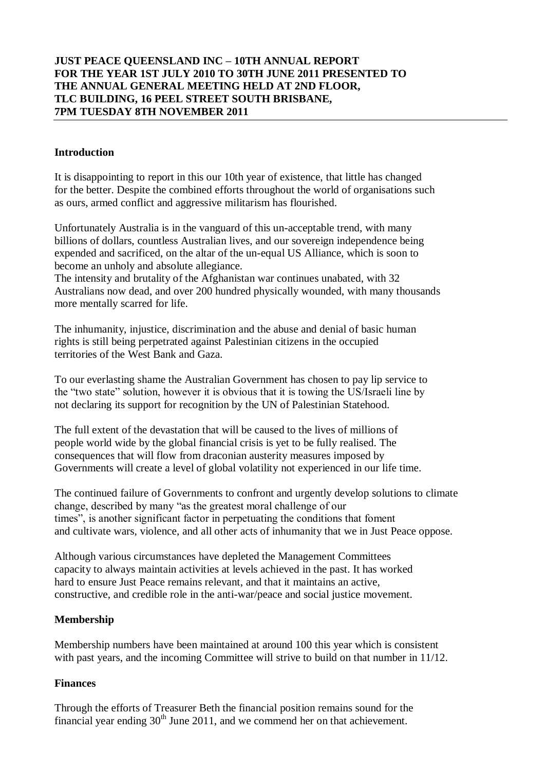# **JUST PEACE QUEENSLAND INC – 10TH ANNUAL REPORT FOR THE YEAR 1ST JULY 2010 TO 30TH JUNE 2011 PRESENTED TO THE ANNUAL GENERAL MEETING HELD AT 2ND FLOOR, TLC BUILDING, 16 PEEL STREET SOUTH BRISBANE, 7PM TUESDAY 8TH NOVEMBER 2011**

## **Introduction**

It is disappointing to report in this our 10th year of existence, that little has changed for the better. Despite the combined efforts throughout the world of organisations such as ours, armed conflict and aggressive militarism has flourished.

Unfortunately Australia is in the vanguard of this un-acceptable trend, with many billions of dollars, countless Australian lives, and our sovereign independence being expended and sacrificed, on the altar of the un-equal US Alliance, which is soon to become an unholy and absolute allegiance.

The intensity and brutality of the Afghanistan war continues unabated, with 32 Australians now dead, and over 200 hundred physically wounded, with many thousands more mentally scarred for life.

The inhumanity, injustice, discrimination and the abuse and denial of basic human rights is still being perpetrated against Palestinian citizens in the occupied territories of the West Bank and Gaza.

To our everlasting shame the Australian Government has chosen to pay lip service to the "two state" solution, however it is obvious that it is towing the US/Israeli line by not declaring its support for recognition by the UN of Palestinian Statehood.

The full extent of the devastation that will be caused to the lives of millions of people world wide by the global financial crisis is yet to be fully realised. The consequences that will flow from draconian austerity measures imposed by Governments will create a level of global volatility not experienced in our life time.

The continued failure of Governments to confront and urgently develop solutions to climate change, described by many "as the greatest moral challenge of our times", is another significant factor in perpetuating the conditions that foment and cultivate wars, violence, and all other acts of inhumanity that we in Just Peace oppose.

Although various circumstances have depleted the Management Committees capacity to always maintain activities at levels achieved in the past. It has worked hard to ensure Just Peace remains relevant, and that it maintains an active, constructive, and credible role in the anti-war/peace and social justice movement.

## **Membership**

Membership numbers have been maintained at around 100 this year which is consistent with past years, and the incoming Committee will strive to build on that number in 11/12.

#### **Finances**

Through the efforts of Treasurer Beth the financial position remains sound for the financial year ending  $30<sup>th</sup>$  June 2011, and we commend her on that achievement.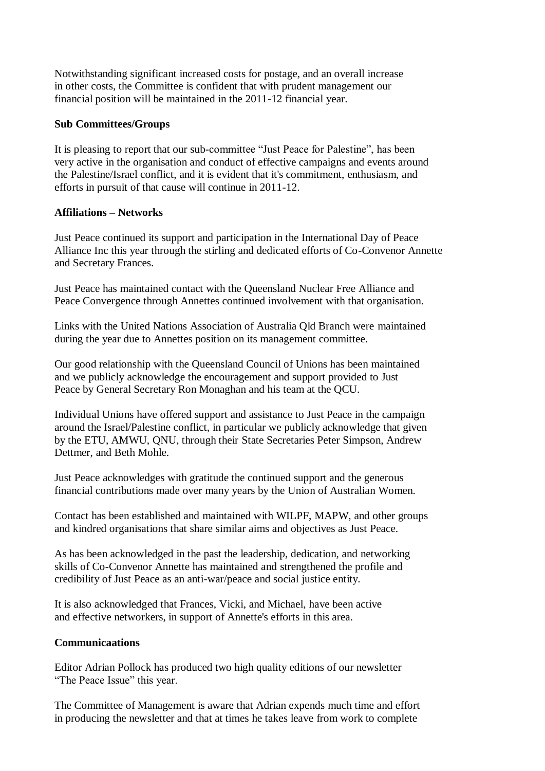Notwithstanding significant increased costs for postage, and an overall increase in other costs, the Committee is confident that with prudent management our financial position will be maintained in the 2011-12 financial year.

## **Sub Committees/Groups**

It is pleasing to report that our sub-committee "Just Peace for Palestine", has been very active in the organisation and conduct of effective campaigns and events around the Palestine/Israel conflict, and it is evident that it's commitment, enthusiasm, and efforts in pursuit of that cause will continue in 2011-12.

# **Affiliations – Networks**

Just Peace continued its support and participation in the International Day of Peace Alliance Inc this year through the stirling and dedicated efforts of Co-Convenor Annette and Secretary Frances.

Just Peace has maintained contact with the Queensland Nuclear Free Alliance and Peace Convergence through Annettes continued involvement with that organisation.

Links with the United Nations Association of Australia Qld Branch were maintained during the year due to Annettes position on its management committee.

Our good relationship with the Queensland Council of Unions has been maintained and we publicly acknowledge the encouragement and support provided to Just Peace by General Secretary Ron Monaghan and his team at the QCU.

Individual Unions have offered support and assistance to Just Peace in the campaign around the Israel/Palestine conflict, in particular we publicly acknowledge that given by the ETU, AMWU, QNU, through their State Secretaries Peter Simpson, Andrew Dettmer, and Beth Mohle.

Just Peace acknowledges with gratitude the continued support and the generous financial contributions made over many years by the Union of Australian Women.

Contact has been established and maintained with WILPF, MAPW, and other groups and kindred organisations that share similar aims and objectives as Just Peace.

As has been acknowledged in the past the leadership, dedication, and networking skills of Co-Convenor Annette has maintained and strengthened the profile and credibility of Just Peace as an anti-war/peace and social justice entity.

It is also acknowledged that Frances, Vicki, and Michael, have been active and effective networkers, in support of Annette's efforts in this area.

## **Communicaations**

Editor Adrian Pollock has produced two high quality editions of our newsletter "The Peace Issue" this year.

The Committee of Management is aware that Adrian expends much time and effort in producing the newsletter and that at times he takes leave from work to complete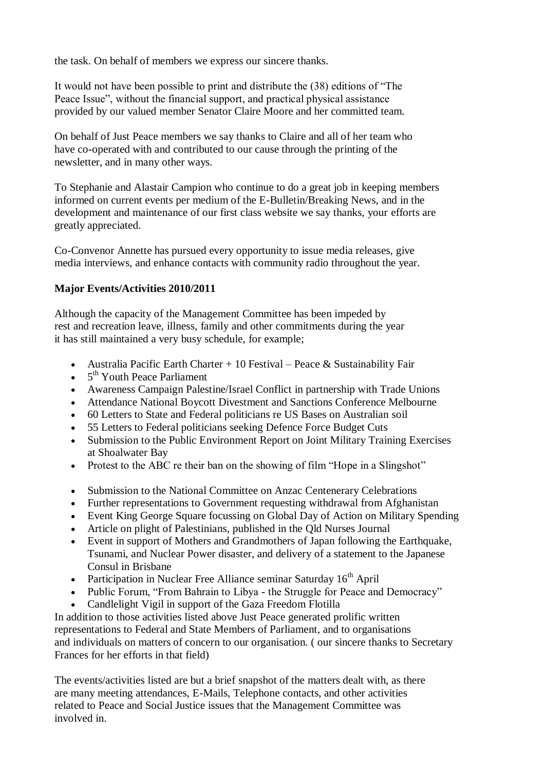the task. On behalf of members we express our sincere thanks.

It would not have been possible to print and distribute the (38) editions of "The Peace Issue", without the financial support, and practical physical assistance provided by our valued member Senator Claire Moore and her committed team.

On behalf of Just Peace members we say thanks to Claire and all of her team who have co-operated with and contributed to our cause through the printing of the newsletter, and in many other ways.

To Stephanie and Alastair Campion who continue to do a great job in keeping members informed on current events per medium of the E-Bulletin/Breaking News, and in the development and maintenance of our first class website we say thanks, your efforts are greatly appreciated.

Co-Convenor Annette has pursued every opportunity to issue media releases, give media interviews, and enhance contacts with community radio throughout the year.

# **Major Events/Activities 2010/2011**

Although the capacity of the Management Committee has been impeded by rest and recreation leave, illness, family and other commitments during the year it has still maintained a very busy schedule, for example;

- Australia Pacific Earth Charter + 10 Festival Peace & Sustainability Fair
- $\bullet$  5<sup>th</sup> Youth Peace Parliament
- Awareness Campaign Palestine/Israel Conflict in partnership with Trade Unions
- Attendance National Boycott Divestment and Sanctions Conference Melbourne
- 60 Letters to State and Federal politicians re US Bases on Australian soil
- 55 Letters to Federal politicians seeking Defence Force Budget Cuts
- Submission to the Public Environment Report on Joint Military Training Exercises at Shoalwater Bay
- Protest to the ABC re their ban on the showing of film "Hope in a Slingshot"
- Submission to the National Committee on Anzac Centenerary Celebrations
- Further representations to Government requesting withdrawal from Afghanistan
- Event King George Square focussing on Global Day of Action on Military Spending
- Article on plight of Palestinians, published in the Qld Nurses Journal
- Event in support of Mothers and Grandmothers of Japan following the Earthquake, Tsunami, and Nuclear Power disaster, and delivery of a statement to the Japanese Consul in Brisbane
- Participation in Nuclear Free Alliance seminar Saturday  $16<sup>th</sup>$  April
- Public Forum, "From Bahrain to Libya the Struggle for Peace and Democracy"
- Candlelight Vigil in support of the Gaza Freedom Flotilla

In addition to those activities listed above Just Peace generated prolific written representations to Federal and State Members of Parliament, and to organisations and individuals on matters of concern to our organisation. ( our sincere thanks to Secretary Frances for her efforts in that field)

The events/activities listed are but a brief snapshot of the matters dealt with, as there are many meeting attendances, E-Mails, Telephone contacts, and other activities related to Peace and Social Justice issues that the Management Committee was involved in.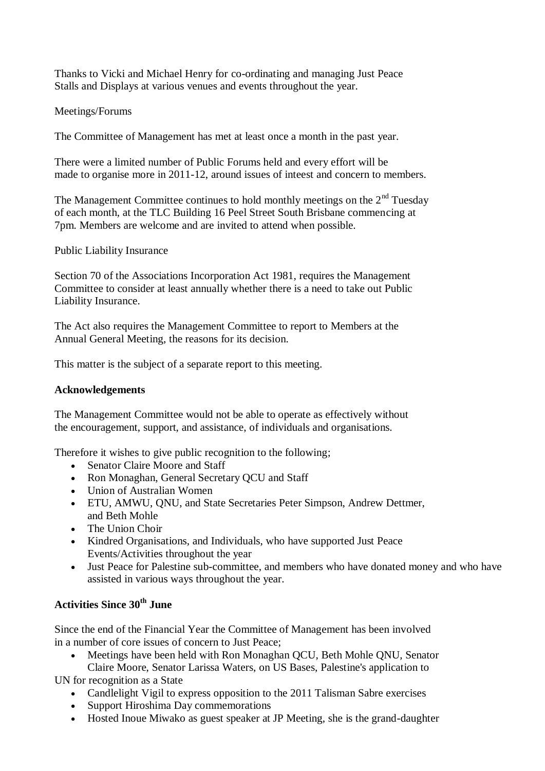Thanks to Vicki and Michael Henry for co-ordinating and managing Just Peace Stalls and Displays at various venues and events throughout the year.

# Meetings/Forums

The Committee of Management has met at least once a month in the past year.

There were a limited number of Public Forums held and every effort will be made to organise more in 2011-12, around issues of inteest and concern to members.

The Management Committee continues to hold monthly meetings on the  $2<sup>nd</sup>$  Tuesday of each month, at the TLC Building 16 Peel Street South Brisbane commencing at 7pm. Members are welcome and are invited to attend when possible.

Public Liability Insurance

Section 70 of the Associations Incorporation Act 1981, requires the Management Committee to consider at least annually whether there is a need to take out Public Liability Insurance.

The Act also requires the Management Committee to report to Members at the Annual General Meeting, the reasons for its decision.

This matter is the subject of a separate report to this meeting.

# **Acknowledgements**

The Management Committee would not be able to operate as effectively without the encouragement, support, and assistance, of individuals and organisations.

Therefore it wishes to give public recognition to the following;

- Senator Claire Moore and Staff
- Ron Monaghan, General Secretary OCU and Staff
- Union of Australian Women
- ETU, AMWU, QNU, and State Secretaries Peter Simpson, Andrew Dettmer, and Beth Mohle
- The Union Choir
- Kindred Organisations, and Individuals, who have supported Just Peace Events/Activities throughout the year
- Just Peace for Palestine sub-committee, and members who have donated money and who have assisted in various ways throughout the year.

# **Activities Since 30th June**

Since the end of the Financial Year the Committee of Management has been involved in a number of core issues of concern to Just Peace;

Meetings have been held with Ron Monaghan QCU, Beth Mohle QNU, Senator

Claire Moore, Senator Larissa Waters, on US Bases, Palestine's application to UN for recognition as a State

- Candlelight Vigil to express opposition to the 2011 Talisman Sabre exercises
- Support Hiroshima Day commemorations
- Hosted Inoue Miwako as guest speaker at JP Meeting, she is the grand-daughter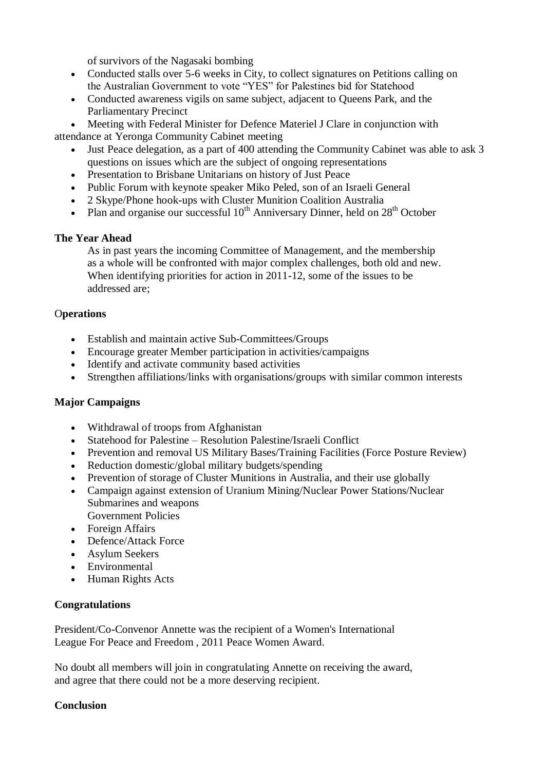of survivors of the Nagasaki bombing

- Conducted stalls over 5-6 weeks in City, to collect signatures on Petitions calling on the Australian Government to vote "YES" for Palestines bid for Statehood
- Conducted awareness vigils on same subject, adjacent to Queens Park, and the Parliamentary Precinct

 Meeting with Federal Minister for Defence Materiel J Clare in conjunction with attendance at Yeronga Community Cabinet meeting

- Just Peace delegation, as a part of 400 attending the Community Cabinet was able to ask 3 questions on issues which are the subject of ongoing representations
- Presentation to Brisbane Unitarians on history of Just Peace
- Public Forum with keynote speaker Miko Peled, son of an Israeli General
- 2 Skype/Phone hook-ups with Cluster Munition Coalition Australia
- Plan and organise our successful  $10^{th}$  Anniversary Dinner, held on  $28^{th}$  October

# **The Year Ahead**

As in past years the incoming Committee of Management, and the membership as a whole will be confronted with major complex challenges, both old and new. When identifying priorities for action in 2011-12, some of the issues to be addressed are;

# O**perations**

- Establish and maintain active Sub-Committees/Groups
- Encourage greater Member participation in activities/campaigns
- Identify and activate community based activities
- Strengthen affiliations/links with organisations/groups with similar common interests

## **Major Campaigns**

- Withdrawal of troops from Afghanistan
- Statehood for Palestine Resolution Palestine/Israeli Conflict
- Prevention and removal US Military Bases/Training Facilities (Force Posture Review)
- Reduction domestic/global military budgets/spending
- Prevention of storage of Cluster Munitions in Australia, and their use globally
- Campaign against extension of Uranium Mining/Nuclear Power Stations/Nuclear Submarines and weapons
	- Government Policies
- Foreign Affairs
- Defence/Attack Force
- Asylum Seekers
- Environmental
- Human Rights Acts

## **Congratulations**

President/Co-Convenor Annette was the recipient of a Women's International League For Peace and Freedom , 2011 Peace Women Award.

No doubt all members will join in congratulating Annette on receiving the award, and agree that there could not be a more deserving recipient.

## **Conclusion**